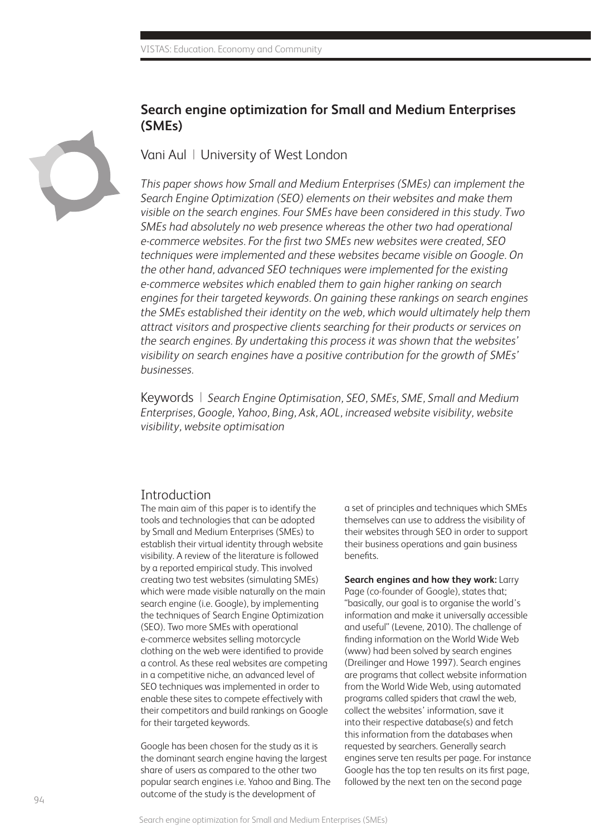

## **Search engine optimization for Small and Medium Enterprises (SMEs)**

Vani Aul |University of West London

*This paper shows how Small and Medium Enterprises (SMEs) can implement the Search Engine Optimization (SEO) elements on their websites and make them visible on the search engines. Four SMEs have been considered in this study. Two SMEs had absolutely no web presence whereas the other two had operational e-commerce websites. For the first two SMEs new websites were created, SEO techniques were implemented and these websites became visible on Google. On the other hand, advanced SEO techniques were implemented for the existing e-commerce websites which enabled them to gain higher ranking on search engines for their targeted keywords. On gaining these rankings on search engines the SMEs established their identity on the web, which would ultimately help them attract visitors and prospective clients searching for their products or services on the search engines. By undertaking this process it was shown that the websites' visibility on search engines have a positive contribution for the growth of SMEs' businesses.*

Keywords | *Search Engine Optimisation, SEO, SMEs, SME, Small and Medium Enterprises, Google, Yahoo, Bing, Ask, AOL, increased website visibility, website visibility, website optimisation*

#### **Introduction**

The main aim of this paper is to identify the tools and technologies that can be adopted by Small and Medium Enterprises (SMEs) to establish their virtual identity through website visibility. A review of the literature is followed by a reported empirical study. This involved creating two test websites (simulating SMEs) which were made visible naturally on the main search engine (i.e. Google), by implementing the techniques of Search Engine Optimization (SEO). Two more SMEs with operational e-commerce websites selling motorcycle clothing on the web were identified to provide a control. As these real websites are competing in a competitive niche, an advanced level of SEO techniques was implemented in order to enable these sites to compete effectively with their competitors and build rankings on Google for their targeted keywords.

Google has been chosen for the study as it is the dominant search engine having the largest share of users as compared to the other two popular search engines i.e. Yahoo and Bing. The outcome of the study is the development of

a set of principles and techniques which SMEs themselves can use to address the visibility of their websites through SEO in order to support their business operations and gain business benefits.

**Search engines and how they work:** Larry Page (co-founder of Google), states that; "basically, our goal is to organise the world's information and make it universally accessible and useful" (Levene, 2010). The challenge of finding information on the World Wide Web (www) had been solved by search engines (Dreilinger and Howe 1997). Search engines are programs that collect website information from the World Wide Web, using automated programs called spiders that crawl the web, collect the websites' information, save it into their respective database(s) and fetch this information from the databases when requested by searchers. Generally search engines serve ten results per page. For instance Google has the top ten results on its first page, followed by the next ten on the second page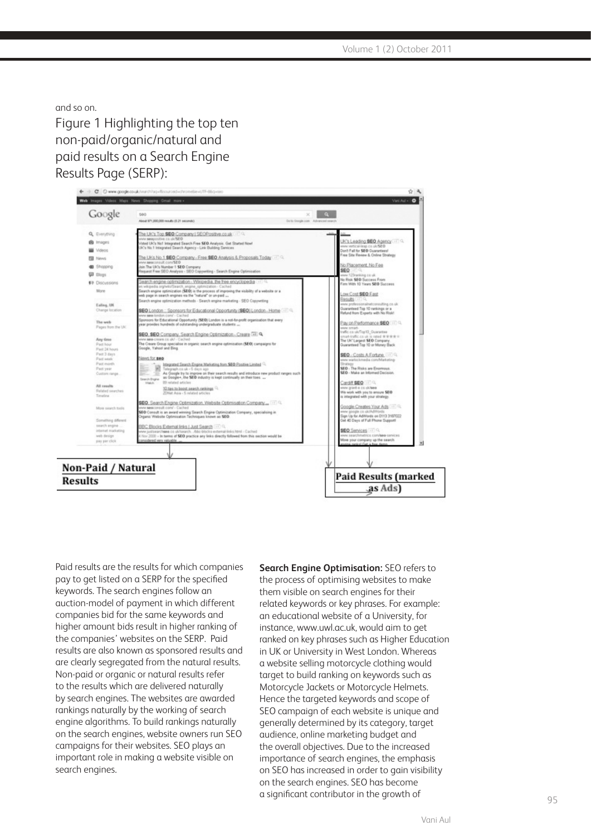and so on.

Figure 1 Highlighting the top ten non-paid/organic/natural and paid results on a Search Engine Results Page (SERP):



Paid results are the results for which companies pay to get listed on a SERP for the specified keywords. The search engines follow an auction-model of payment in which different companies bid for the same keywords and higher amount bids result in higher ranking of the companies' websites on the SERP. Paid results are also known as sponsored results and are clearly segregated from the natural results. Non-paid or organic or natural results refer to the results which are delivered naturally by search engines. The websites are awarded rankings naturally by the working of search engine algorithms. To build rankings naturally on the search engines, website owners run SEO campaigns for their websites. SEO plays an important role in making a website visible on search engines.

**Search Engine Optimisation:** SEO refers to the process of optimising websites to make them visible on search engines for their related keywords or key phrases. For example: an educational website of a University, for instance, www.uwl.ac.uk, would aim to get ranked on key phrases such as Higher Education in UK or University in West London. Whereas a website selling motorcycle clothing would target to build ranking on keywords such as Motorcycle Jackets or Motorcycle Helmets. Hence the targeted keywords and scope of SEO campaign of each website is unique and generally determined by its category, target audience, online marketing budget and the overall objectives. Due to the increased importance of search engines, the emphasis on SEO has increased in order to gain visibility on the search engines. SEO has become a significant contributor in the growth of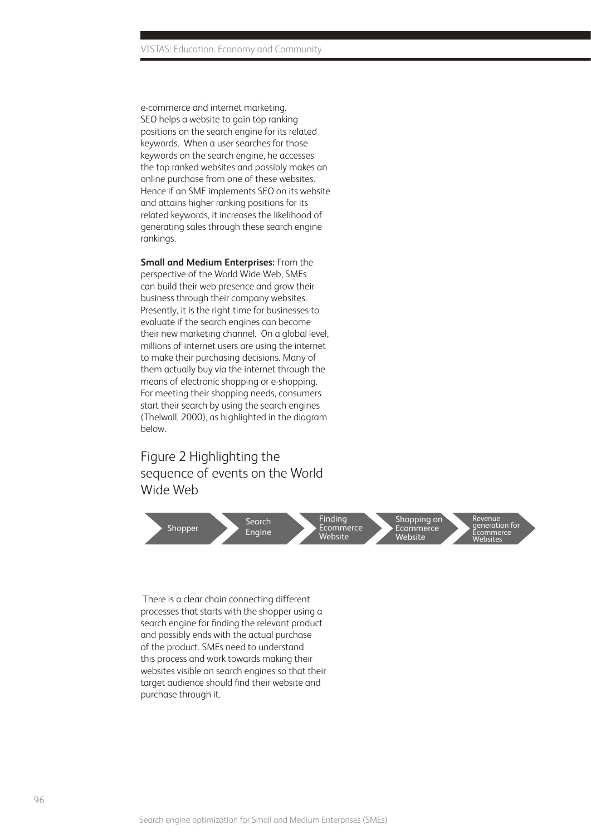e-commerce and internet marketing. SEO helps a website to gain top ranking positions on the search engine for its related keywords. When a user searches for those keywords on the search engine, he accesses the top ranked websites and possibly makes an online purchase from one of these websites. Hence if an SME implements SEO on its website and attains higher ranking positions for its related keywords, it increases the likelihood of generating sales through these search engine rankings.

**Small and Medium Enterprises:** From the perspective of the World Wide Web, SMEs can build their web presence and grow their business through their company websites. Presently, it is the right time for businesses to evaluate if the search engines can become their new marketing channel. On a global level, millions of internet users are using the internet to make their purchasing decisions. Many of them actually buy via the internet through the means of electronic shopping or e-shopping. For meeting their shopping needs, consumers start their search by using the search engines (Thelwall, 2000), as highlighted in the diagram below.

## Figure 2 Highlighting the sequence of events on the World Wide Web



 There is a clear chain connecting different processes that starts with the shopper using a search engine for finding the relevant product and possibly ends with the actual purchase of the product. SMEs need to understand this process and work towards making their websites visible on search engines so that their target audience should find their website and purchase through it.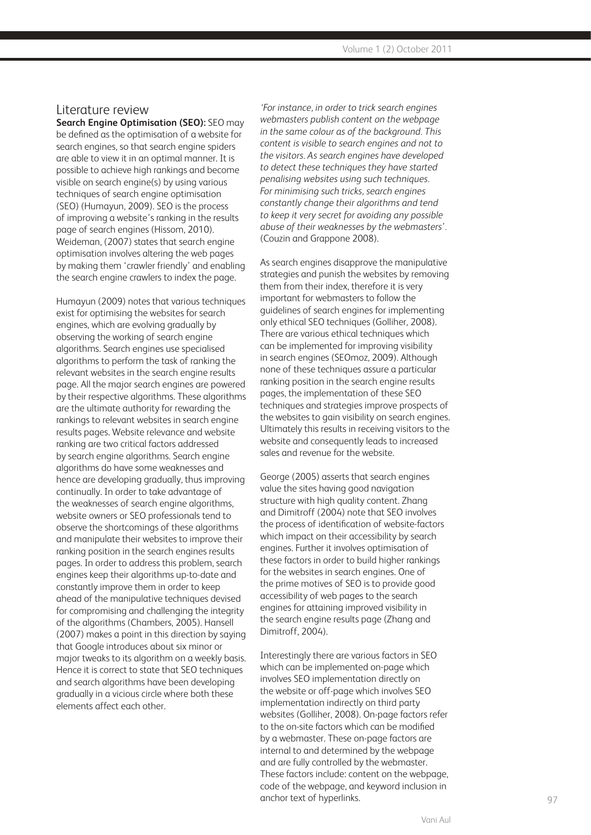#### Literature review

**Search Engine Optimisation (SEO):** SEO may be defined as the optimisation of a website for search engines, so that search engine spiders are able to view it in an optimal manner. It is possible to achieve high rankings and become visible on search engine(s) by using various techniques of search engine optimisation (SEO) (Humayun, 2009). SEO is the process of improving a website's ranking in the results page of search engines (Hissom, 2010). Weideman, (2007) states that search engine optimisation involves altering the web pages by making them 'crawler friendly' and enabling the search engine crawlers to index the page.

Humayun (2009) notes that various techniques exist for optimising the websites for search engines, which are evolving gradually by observing the working of search engine algorithms. Search engines use specialised algorithms to perform the task of ranking the relevant websites in the search engine results page. All the major search engines are powered by their respective algorithms. These algorithms are the ultimate authority for rewarding the rankings to relevant websites in search engine results pages. Website relevance and website ranking are two critical factors addressed by search engine algorithms. Search engine algorithms do have some weaknesses and hence are developing gradually, thus improving continually. In order to take advantage of the weaknesses of search engine algorithms, website owners or SEO professionals tend to observe the shortcomings of these algorithms and manipulate their websites to improve their ranking position in the search engines results pages. In order to address this problem, search engines keep their algorithms up-to-date and constantly improve them in order to keep ahead of the manipulative techniques devised for compromising and challenging the integrity of the algorithms (Chambers, 2005). Hansell (2007) makes a point in this direction by saying that Google introduces about six minor or major tweaks to its algorithm on a weekly basis. Hence it is correct to state that SEO techniques and search algorithms have been developing gradually in a vicious circle where both these elements affect each other.

*'For instance, in order to trick search engines webmasters publish content on the webpage in the same colour as of the background. This content is visible to search engines and not to the visitors. As search engines have developed to detect these techniques they have started penalising websites using such techniques. For minimising such tricks, search engines constantly change their algorithms and tend to keep it very secret for avoiding any possible abuse of their weaknesses by the webmasters'.* (Couzin and Grappone 2008).

As search engines disapprove the manipulative strategies and punish the websites by removing them from their index, therefore it is very important for webmasters to follow the guidelines of search engines for implementing only ethical SEO techniques (Golliher, 2008). There are various ethical techniques which can be implemented for improving visibility in search engines (SEOmoz, 2009). Although none of these techniques assure a particular ranking position in the search engine results pages, the implementation of these SEO techniques and strategies improve prospects of the websites to gain visibility on search engines. Ultimately this results in receiving visitors to the website and consequently leads to increased sales and revenue for the website.

George (2005) asserts that search engines value the sites having good navigation structure with high quality content. Zhang and Dimitroff (2004) note that SEO involves the process of identification of website-factors which impact on their accessibility by search engines. Further it involves optimisation of these factors in order to build higher rankings for the websites in search engines. One of the prime motives of SEO is to provide good accessibility of web pages to the search engines for attaining improved visibility in the search engine results page (Zhang and Dimitroff, 2004).

Interestingly there are various factors in SEO which can be implemented on-page which involves SEO implementation directly on the website or off-page which involves SEO implementation indirectly on third party websites (Golliher, 2008). On-page factors refer to the on-site factors which can be modified by a webmaster. These on-page factors are internal to and determined by the webpage and are fully controlled by the webmaster. These factors include: content on the webpage, code of the webpage, and keyword inclusion in anchor text of hyperlinks.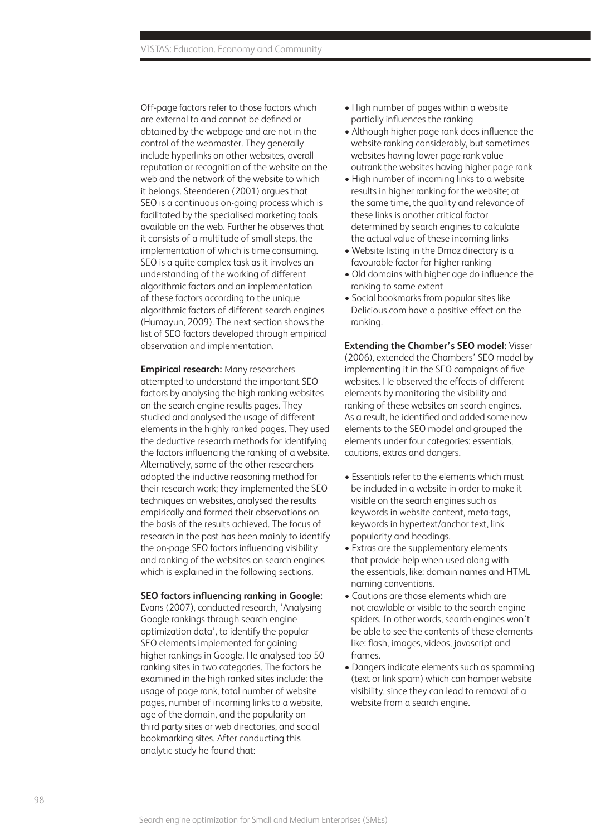Off-page factors refer to those factors which are external to and cannot be defined or obtained by the webpage and are not in the control of the webmaster. They generally include hyperlinks on other websites, overall reputation or recognition of the website on the web and the network of the website to which it belongs. Steenderen (2001) argues that SEO is a continuous on-going process which is facilitated by the specialised marketing tools available on the web. Further he observes that it consists of a multitude of small steps, the implementation of which is time consuming. SEO is a quite complex task as it involves an understanding of the working of different algorithmic factors and an implementation of these factors according to the unique algorithmic factors of different search engines (Humayun, 2009). The next section shows the list of SEO factors developed through empirical observation and implementation.

**Empirical research:** Many researchers attempted to understand the important SEO factors by analysing the high ranking websites on the search engine results pages. They studied and analysed the usage of different elements in the highly ranked pages. They used the deductive research methods for identifying the factors influencing the ranking of a website. Alternatively, some of the other researchers adopted the inductive reasoning method for their research work; they implemented the SEO techniques on websites, analysed the results empirically and formed their observations on the basis of the results achieved. The focus of research in the past has been mainly to identify the on-page SEO factors influencing visibility and ranking of the websites on search engines which is explained in the following sections.

#### **SEO factors influencing ranking in Google:**

Evans (2007), conducted research, 'Analysing Google rankings through search engine optimization data', to identify the popular SEO elements implemented for gaining higher rankings in Google. He analysed top 50 ranking sites in two categories. The factors he examined in the high ranked sites include: the usage of page rank, total number of website pages, number of incoming links to a website, age of the domain, and the popularity on third party sites or web directories, and social bookmarking sites. After conducting this analytic study he found that:

- High number of pages within a website partially influences the ranking
- Although higher page rank does influence the website ranking considerably, but sometimes websites having lower page rank value outrank the websites having higher page rank
- High number of incoming links to a website results in higher ranking for the website; at the same time, the quality and relevance of these links is another critical factor determined by search engines to calculate the actual value of these incoming links
- Website listing in the Dmoz directory is a favourable factor for higher ranking
- Old domains with higher age do influence the ranking to some extent
- Social bookmarks from popular sites like Delicious.com have a positive effect on the ranking.

**Extending the Chamber's SEO model:** Visser (2006), extended the Chambers' SEO model by implementing it in the SEO campaigns of five websites. He observed the effects of different elements by monitoring the visibility and ranking of these websites on search engines. As a result, he identified and added some new elements to the SEO model and grouped the elements under four categories: essentials, cautions, extras and dangers.

- Essentials refer to the elements which must be included in a website in order to make it visible on the search engines such as keywords in website content, meta-tags, keywords in hypertext/anchor text, link popularity and headings.
- Extras are the supplementary elements that provide help when used along with the essentials, like: domain names and HTML naming conventions.
- Cautions are those elements which are not crawlable or visible to the search engine spiders. In other words, search engines won't be able to see the contents of these elements like: flash, images, videos, javascript and frames.
- Dangers indicate elements such as spamming (text or link spam) which can hamper website visibility, since they can lead to removal of a website from a search engine.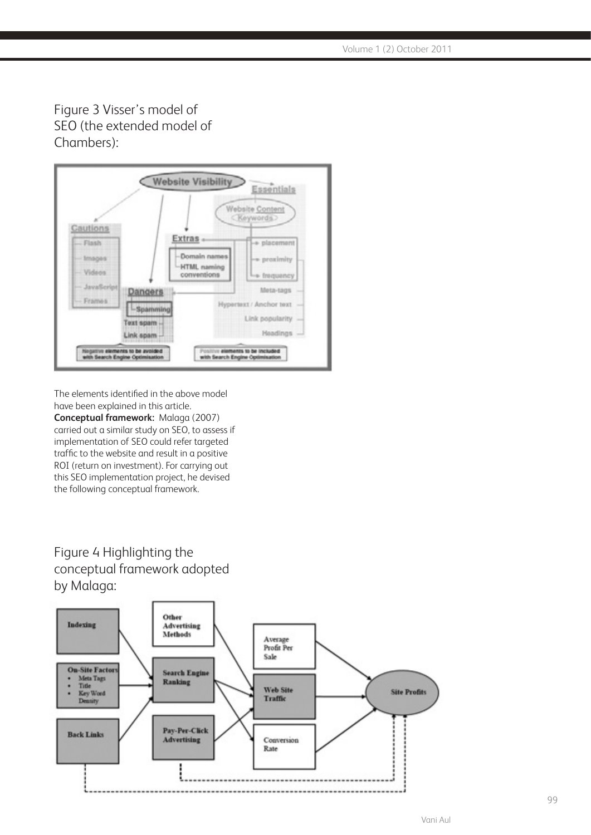Figure 3 Visser's model of SEO (the extended model of Chambers):



The elements identified in the above model have been explained in this article.

**Conceptual framework:** Malaga (2007) carried out a similar study on SEO, to assess if implementation of SEO could refer targeted traffic to the website and result in a positive ROI (return on investment). For carrying out this SEO implementation project, he devised the following conceptual framework.

# Figure 4 Highlighting the conceptual framework adopted by Malaga:

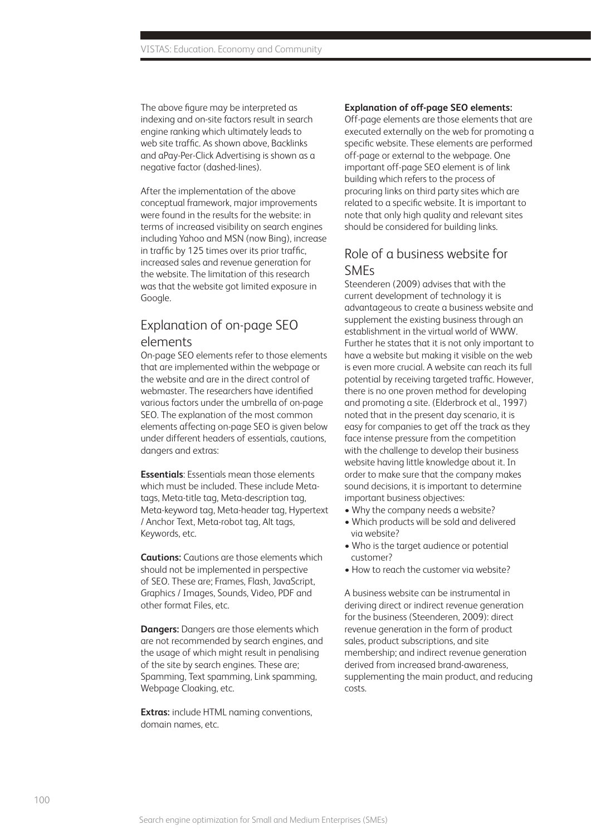The above figure may be interpreted as indexing and on-site factors result in search engine ranking which ultimately leads to web site traffic. As shown above, Backlinks and aPay-Per-Click Advertising is shown as a negative factor (dashed-lines).

After the implementation of the above conceptual framework, major improvements were found in the results for the website: in terms of increased visibility on search engines including Yahoo and MSN (now Bing), increase in traffic by 125 times over its prior traffic, increased sales and revenue generation for the website. The limitation of this research was that the website got limited exposure in Google.

### Explanation of on-page SEO elements

On-page SEO elements refer to those elements that are implemented within the webpage or the website and are in the direct control of webmaster. The researchers have identified various factors under the umbrella of on-page SEO. The explanation of the most common elements affecting on-page SEO is given below under different headers of essentials, cautions, dangers and extras:

**Essentials**: Essentials mean those elements which must be included. These include Metatags, Meta-title tag, Meta-description tag, Meta-keyword tag, Meta-header tag, Hypertext / Anchor Text, Meta-robot tag, Alt tags, Keywords, etc.

**Cautions:** Cautions are those elements which should not be implemented in perspective of SEO. These are; Frames, Flash, JavaScript, Graphics / Images, Sounds, Video, PDF and other format Files, etc.

**Dangers:** Dangers are those elements which are not recommended by search engines, and the usage of which might result in penalising of the site by search engines. These are; Spamming, Text spamming, Link spamming, Webpage Cloaking, etc.

**Extras:** include HTML naming conventions, domain names, etc.

#### **Explanation of off-page SEO elements:**

Off-page elements are those elements that are executed externally on the web for promoting a specific website. These elements are performed off-page or external to the webpage. One important off-page SEO element is of link building which refers to the process of procuring links on third party sites which are related to a specific website. It is important to note that only high quality and relevant sites should be considered for building links.

### Role of a business website for SMEs

Steenderen (2009) advises that with the current development of technology it is advantageous to create a business website and supplement the existing business through an establishment in the virtual world of WWW. Further he states that it is not only important to have a website but making it visible on the web is even more crucial. A website can reach its full potential by receiving targeted traffic. However, there is no one proven method for developing and promoting a site. (Elderbrock et al., 1997) noted that in the present day scenario, it is easy for companies to get off the track as they face intense pressure from the competition with the challenge to develop their business website having little knowledge about it. In order to make sure that the company makes sound decisions, it is important to determine important business objectives:

- Why the company needs a website?
- Which products will be sold and delivered via website?
- Who is the target audience or potential customer?
- How to reach the customer via website?

A business website can be instrumental in deriving direct or indirect revenue generation for the business (Steenderen, 2009): direct revenue generation in the form of product sales, product subscriptions, and site membership; and indirect revenue generation derived from increased brand-awareness, supplementing the main product, and reducing costs.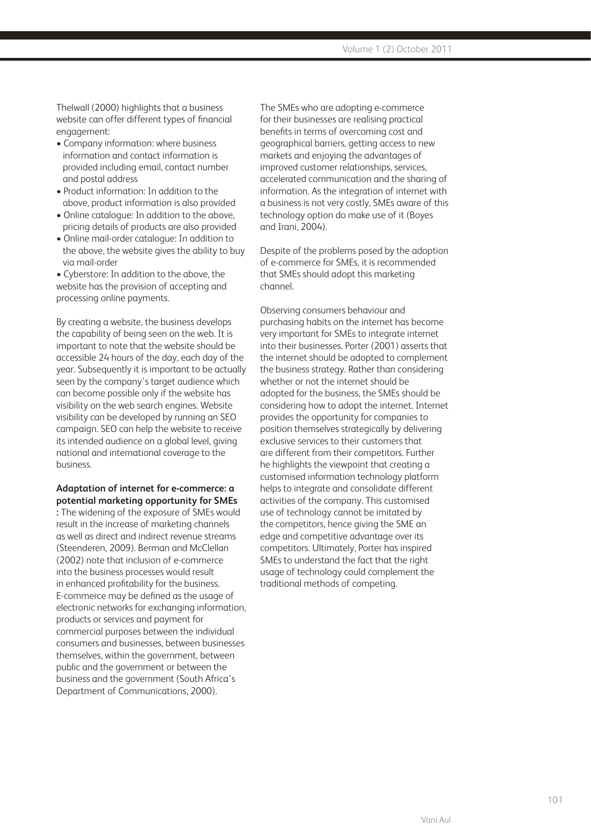Thelwall (2000) highlights that a business website can offer different types of financial engagement:

- Company information: where business information and contact information is provided including email, contact number and postal address
- Product information: In addition to the above, product information is also provided
- Online catalogue: In addition to the above, pricing details of products are also provided
- Online mail-order catalogue: In addition to the above, the website gives the ability to buy via mail-order

• Cyberstore: In addition to the above, the website has the provision of accepting and processing online payments.

By creating a website, the business develops the capability of being seen on the web. It is important to note that the website should be accessible 24 hours of the day, each day of the year. Subsequently it is important to be actually seen by the company's target audience which can become possible only if the website has visibility on the web search engines. Website visibility can be developed by running an SEO campaign. SEO can help the website to receive its intended audience on a global level, giving national and international coverage to the business.

#### **Adaptation of internet for e-commerce: a potential marketing opportunity for SMEs**

**:** The widening of the exposure of SMEs would result in the increase of marketing channels as well as direct and indirect revenue streams (Steenderen, 2009). Berman and McClellan (2002) note that inclusion of e-commerce into the business processes would result in enhanced profitability for the business. E-commerce may be defined as the usage of electronic networks for exchanging information, products or services and payment for commercial purposes between the individual consumers and businesses, between businesses themselves, within the government, between public and the government or between the business and the government (South Africa's Department of Communications, 2000).

The SMEs who are adopting e-commerce for their businesses are realising practical benefits in terms of overcoming cost and geographical barriers, getting access to new markets and enjoying the advantages of improved customer relationships, services, accelerated communication and the sharing of information. As the integration of internet with a business is not very costly, SMEs aware of this technology option do make use of it (Boyes and Irani, 2004).

Despite of the problems posed by the adoption of e-commerce for SMEs, it is recommended that SMEs should adopt this marketing channel.

Observing consumers behaviour and purchasing habits on the internet has become very important for SMEs to integrate internet into their businesses. Porter (2001) asserts that the internet should be adopted to complement the business strategy. Rather than considering whether or not the internet should be adopted for the business, the SMEs should be considering how to adopt the internet. Internet provides the opportunity for companies to position themselves strategically by delivering exclusive services to their customers that are different from their competitors. Further he highlights the viewpoint that creating a customised information technology platform helps to integrate and consolidate different activities of the company. This customised use of technology cannot be imitated by the competitors, hence giving the SME an edge and competitive advantage over its competitors. Ultimately, Porter has inspired SMEs to understand the fact that the right usage of technology could complement the traditional methods of competing.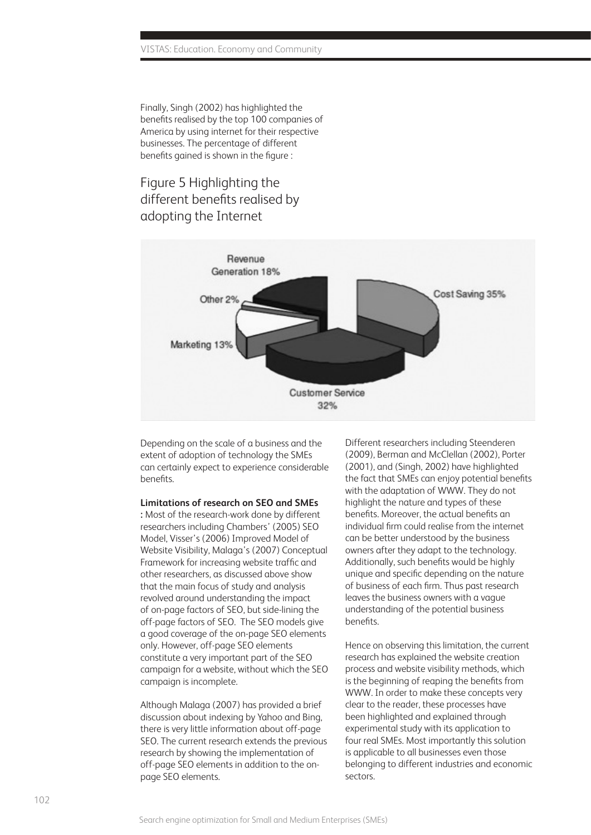Finally, Singh (2002) has highlighted the benefits realised by the top 100 companies of America by using internet for their respective businesses. The percentage of different benefits gained is shown in the figure :

# Figure 5 Highlighting the different benefits realised by adopting the Internet



Depending on the scale of a business and the extent of adoption of technology the SMEs can certainly expect to experience considerable benefits.

#### **Limitations of research on SEO and SMEs**

**:** Most of the research-work done by different researchers including Chambers' (2005) SEO Model, Visser's (2006) Improved Model of Website Visibility, Malaga's (2007) Conceptual Framework for increasing website traffic and other researchers, as discussed above show that the main focus of study and analysis revolved around understanding the impact of on-page factors of SEO, but side-lining the off-page factors of SEO. The SEO models give a good coverage of the on-page SEO elements only. However, off-page SEO elements constitute a very important part of the SEO campaign for a website, without which the SEO campaign is incomplete.

Although Malaga (2007) has provided a brief discussion about indexing by Yahoo and Bing, there is very little information about off-page SEO. The current research extends the previous research by showing the implementation of off-page SEO elements in addition to the onpage SEO elements.

Different researchers including Steenderen (2009), Berman and McClellan (2002), Porter (2001), and (Singh, 2002) have highlighted the fact that SMEs can enjoy potential benefits with the adaptation of WWW. They do not highlight the nature and types of these benefits. Moreover, the actual benefits an individual firm could realise from the internet can be better understood by the business owners after they adapt to the technology. Additionally, such benefits would be highly unique and specific depending on the nature of business of each firm. Thus past research leaves the business owners with a vague understanding of the potential business benefits.

Hence on observing this limitation, the current research has explained the website creation process and website visibility methods, which is the beginning of reaping the benefits from WWW. In order to make these concepts very clear to the reader, these processes have been highlighted and explained through experimental study with its application to four real SMEs. Most importantly this solution is applicable to all businesses even those belonging to different industries and economic sectors.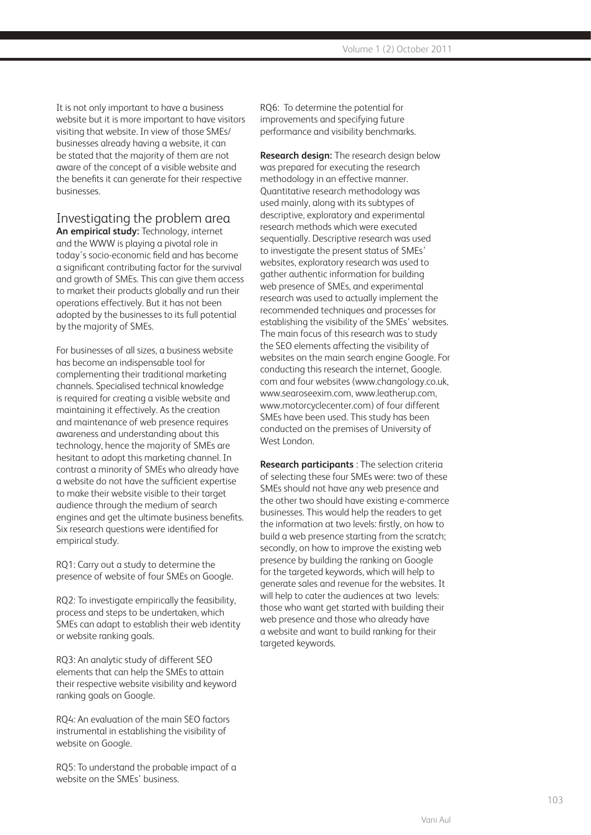It is not only important to have a business website but it is more important to have visitors visiting that website. In view of those SMEs/ businesses already having a website, it can be stated that the majority of them are not aware of the concept of a visible website and the benefits it can generate for their respective businesses.

#### Investigating the problem area

**An empirical study:** Technology, internet and the WWW is playing a pivotal role in today's socio-economic field and has become a significant contributing factor for the survival and growth of SMEs. This can give them access to market their products globally and run their operations effectively. But it has not been adopted by the businesses to its full potential by the majority of SMEs.

For businesses of all sizes, a business website has become an indispensable tool for complementing their traditional marketing channels. Specialised technical knowledge is required for creating a visible website and maintaining it effectively. As the creation and maintenance of web presence requires awareness and understanding about this technology, hence the majority of SMEs are hesitant to adopt this marketing channel. In contrast a minority of SMEs who already have a website do not have the sufficient expertise to make their website visible to their target audience through the medium of search engines and get the ultimate business benefits. Six research questions were identified for empirical study.

RQ1: Carry out a study to determine the presence of website of four SMEs on Google.

RQ2: To investigate empirically the feasibility, process and steps to be undertaken, which SMEs can adapt to establish their web identity or website ranking goals.

RQ3: An analytic study of different SEO elements that can help the SMEs to attain their respective website visibility and keyword ranking goals on Google.

RQ4: An evaluation of the main SEO factors instrumental in establishing the visibility of website on Google.

RQ5: To understand the probable impact of a website on the SMEs' business.

RQ6: To determine the potential for improvements and specifying future performance and visibility benchmarks.

**Research design:** The research design below was prepared for executing the research methodology in an effective manner. Quantitative research methodology was used mainly, along with its subtypes of descriptive, exploratory and experimental research methods which were executed sequentially. Descriptive research was used to investigate the present status of SMEs' websites, exploratory research was used to gather authentic information for building web presence of SMEs, and experimental research was used to actually implement the recommended techniques and processes for establishing the visibility of the SMEs' websites. The main focus of this research was to study the SEO elements affecting the visibility of websites on the main search engine Google. For conducting this research the internet, Google. com and four websites (www.changology.co.uk, www.searoseexim.com, www.leatherup.com, www.motorcyclecenter.com) of four different SMEs have been used. This study has been conducted on the premises of University of West London.

**Research participants** : The selection criteria of selecting these four SMEs were: two of these SMEs should not have any web presence and the other two should have existing e-commerce businesses. This would help the readers to get the information at two levels: firstly, on how to build a web presence starting from the scratch; secondly, on how to improve the existing web presence by building the ranking on Google for the targeted keywords, which will help to generate sales and revenue for the websites. It will help to cater the audiences at two levels: those who want get started with building their web presence and those who already have a website and want to build ranking for their targeted keywords.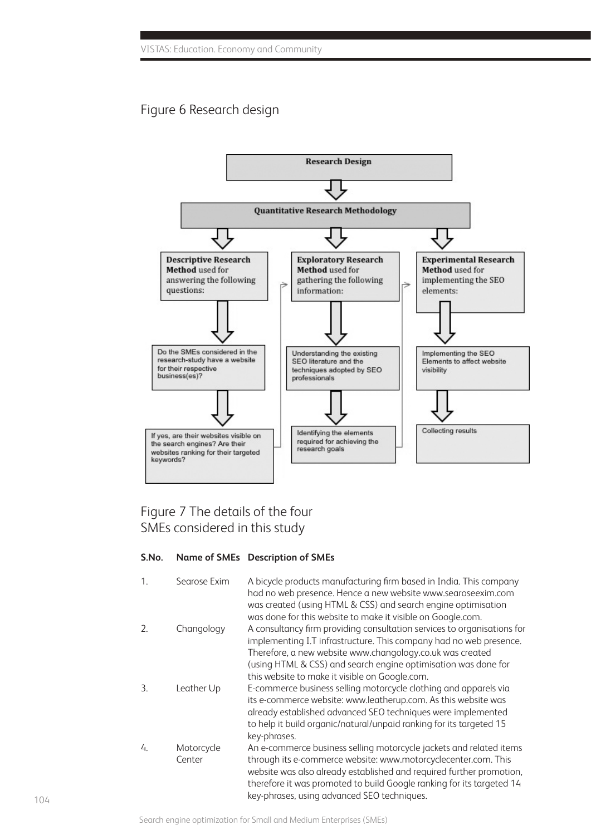# Figure 6 Research design



# Figure 7 The details of the four SMEs considered in this study

#### **S.No. Name of SMEs Description of SMEs**

| 1. | Searose Exim         | A bicycle products manufacturing firm based in India. This company<br>had no web presence. Hence a new website www.searoseexim.com<br>was created (using HTML & CSS) and search engine optimisation<br>was done for this website to make it visible on Google.com.                                                                          |
|----|----------------------|---------------------------------------------------------------------------------------------------------------------------------------------------------------------------------------------------------------------------------------------------------------------------------------------------------------------------------------------|
| 2. | Changology           | A consultancy firm providing consultation services to organisations for<br>implementing I.T infrastructure. This company had no web presence.<br>Therefore, a new website www.changology.co.uk was created<br>(using HTML & CSS) and search engine optimisation was done for                                                                |
| 3. | Leather Up           | this website to make it visible on Google.com.<br>E-commerce business selling motorcycle clothing and apparels via<br>its e-commerce website: www.leatherup.com. As this website was<br>already established advanced SEO techniques were implemented<br>to help it build organic/natural/unpaid ranking for its targeted 15<br>key-phrases. |
| 4. | Motorcycle<br>Center | An e-commerce business selling motorcycle jackets and related items<br>through its e-commerce website: www.motorcyclecenter.com. This<br>website was also already established and required further promotion,<br>therefore it was promoted to build Google ranking for its targeted 14<br>key-phrases, using advanced SEO techniques.       |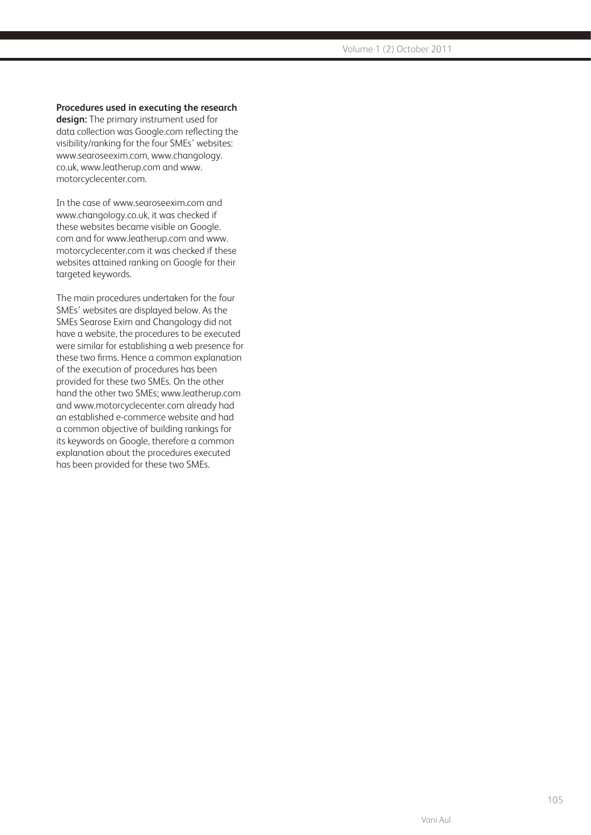#### **Procedures used in executing the research**

**design:** The primary instrument used for data collection was Google.com reflecting the visibility/ranking for the four SMEs' websites: www.searoseexim.com, www.changology. co.uk, www.leatherup.com and www. motorcyclecenter.com.

In the case of www.searoseexim.com and www.changology.co.uk, it was checked if these websites became visible on Google. com and for www.leatherup.com and www. motorcyclecenter.com it was checked if these websites attained ranking on Google for their targeted keywords.

The main procedures undertaken for the four SMEs' websites are displayed below. As the SMEs Searose Exim and Changology did not have a website, the procedures to be executed were similar for establishing a web presence for these two firms. Hence a common explanation of the execution of procedures has been provided for these two SMEs. On the other hand the other two SMEs; www.leatherup.com and www.motorcyclecenter.com already had an established e-commerce website and had a common objective of building rankings for its keywords on Google, therefore a common explanation about the procedures executed has been provided for these two SMEs.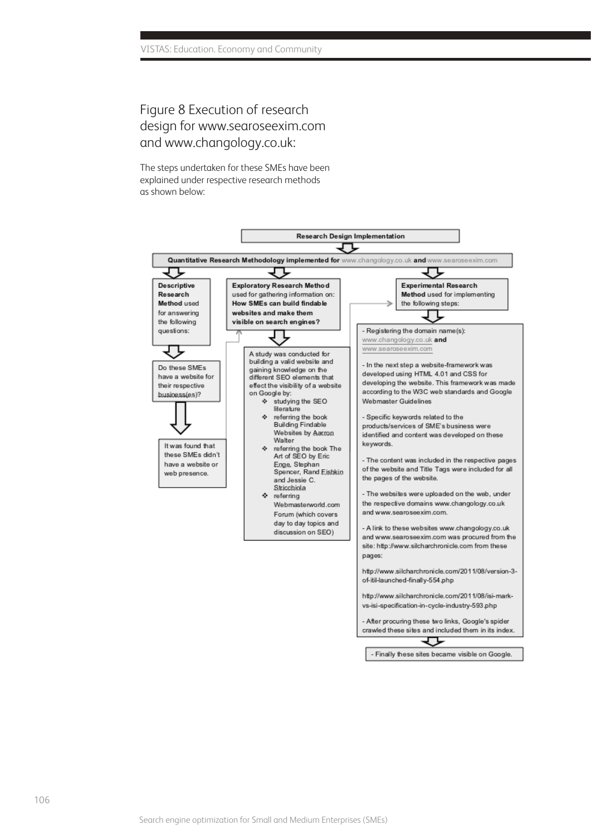# Figure 8 Execution of research design for www.searoseexim.com and www.changology.co.uk:

The steps undertaken for these SMEs have been explained under respective research methods as shown below:

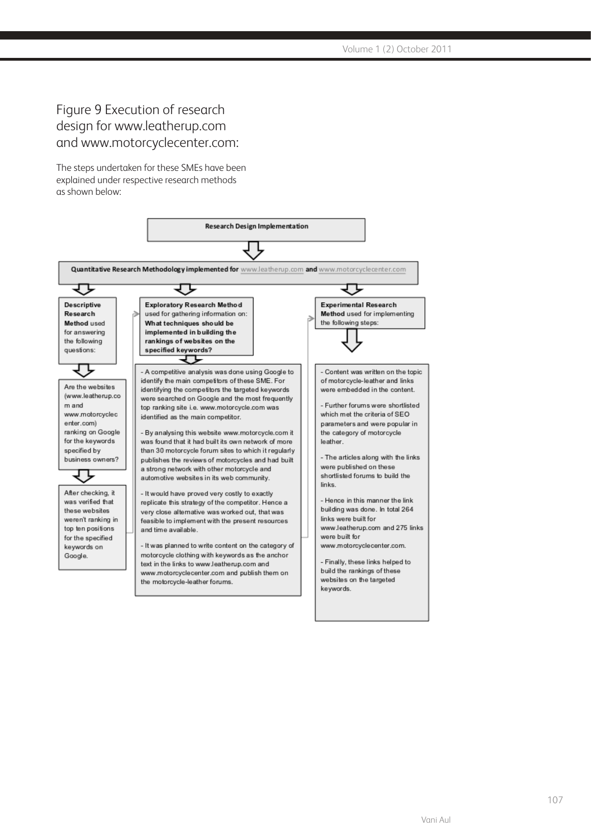# Figure 9 Execution of research design for www.leatherup.com and www.motorcyclecenter.com:

The steps undertaken for these SMEs have been explained under respective research methods as shown below:

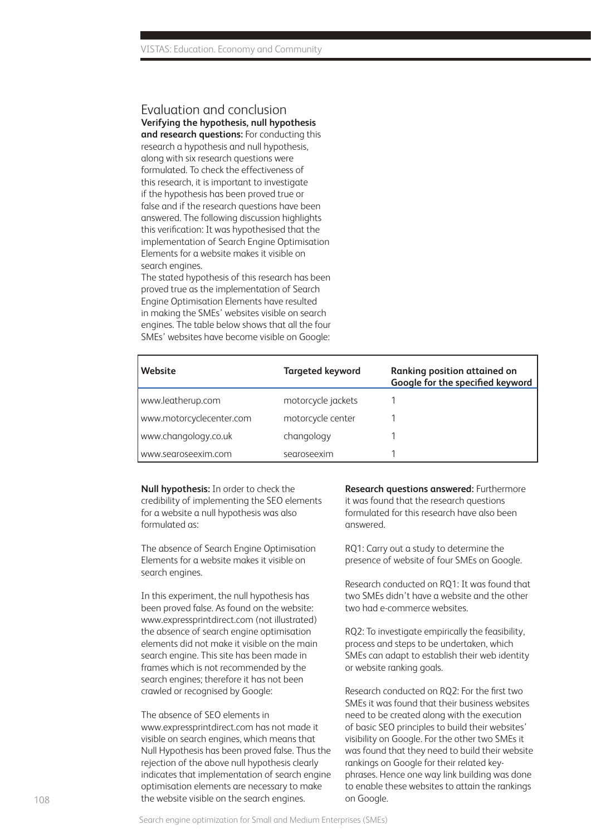### Evaluation and conclusion **Verifying the hypothesis, null hypothesis**

**and research questions:** For conducting this research a hypothesis and null hypothesis, along with six research questions were formulated. To check the effectiveness of this research, it is important to investigate if the hypothesis has been proved true or false and if the research questions have been answered. The following discussion highlights this verification: It was hypothesised that the implementation of Search Engine Optimisation Elements for a website makes it visible on search engines.

The stated hypothesis of this research has been proved true as the implementation of Search Engine Optimisation Elements have resulted in making the SMEs' websites visible on search engines. The table below shows that all the four SMEs' websites have become visible on Google:

| Website                  | <b>Targeted keyword</b> | <b>Ranking position attained on</b><br>Google for the specified keyword |
|--------------------------|-------------------------|-------------------------------------------------------------------------|
| www.leatherup.com        | motorcycle jackets      |                                                                         |
| www.motorcyclecenter.com | motorcycle center       |                                                                         |
| www.changology.co.uk     | changology              |                                                                         |
| www.searoseexim.com      | searoseexim             |                                                                         |

**Null hypothesis:** In order to check the credibility of implementing the SEO elements for a website a null hypothesis was also formulated as:

The absence of Search Engine Optimisation Elements for a website makes it visible on search engines.

In this experiment, the null hypothesis has been proved false. As found on the website: www.expressprintdirect.com (not illustrated) the absence of search engine optimisation elements did not make it visible on the main search engine. This site has been made in frames which is not recommended by the search engines; therefore it has not been crawled or recognised by Google:

The absence of SEO elements in www.expressprintdirect.com has not made it visible on search engines, which means that Null Hypothesis has been proved false. Thus the rejection of the above null hypothesis clearly indicates that implementation of search engine optimisation elements are necessary to make the website visible on the search engines.

**Research questions answered:** Furthermore it was found that the research questions formulated for this research have also been answered.

RQ1: Carry out a study to determine the presence of website of four SMEs on Google.

Research conducted on RQ1: It was found that two SMEs didn't have a website and the other two had e-commerce websites.

RQ2: To investigate empirically the feasibility, process and steps to be undertaken, which SMEs can adapt to establish their web identity or website ranking goals.

Research conducted on RQ2: For the first two SMEs it was found that their business websites need to be created along with the execution of basic SEO principles to build their websites' visibility on Google. For the other two SMEs it was found that they need to build their website rankings on Google for their related keyphrases. Hence one way link building was done to enable these websites to attain the rankings on Google.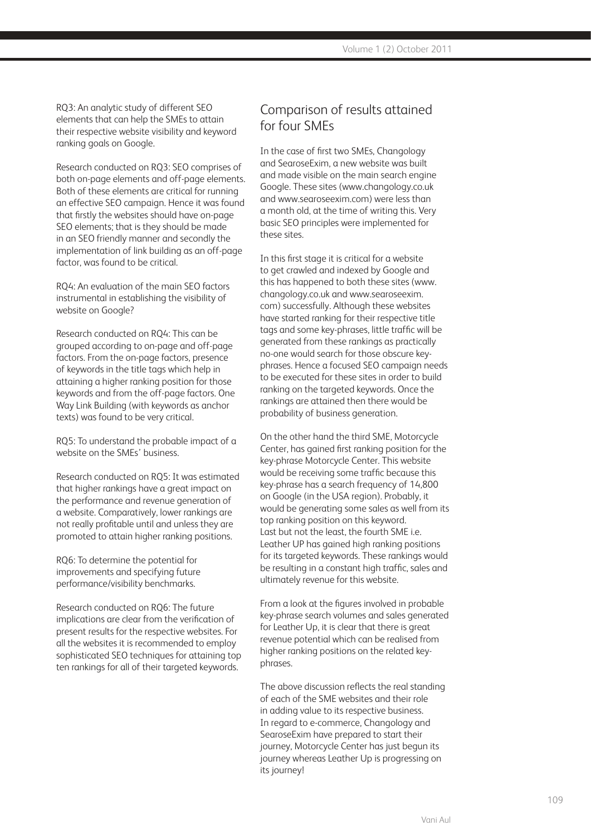RQ3: An analytic study of different SEO elements that can help the SMEs to attain their respective website visibility and keyword ranking goals on Google.

Research conducted on RQ3: SEO comprises of both on-page elements and off-page elements. Both of these elements are critical for running an effective SEO campaign. Hence it was found that firstly the websites should have on-page SEO elements; that is they should be made in an SEO friendly manner and secondly the implementation of link building as an off-page factor, was found to be critical.

RQ4: An evaluation of the main SEO factors instrumental in establishing the visibility of website on Google?

Research conducted on RQ4: This can be grouped according to on-page and off-page factors. From the on-page factors, presence of keywords in the title tags which help in attaining a higher ranking position for those keywords and from the off-page factors. One Way Link Building (with keywords as anchor texts) was found to be very critical.

RQ5: To understand the probable impact of a website on the SMEs' business.

Research conducted on RQ5: It was estimated that higher rankings have a great impact on the performance and revenue generation of a website. Comparatively, lower rankings are not really profitable until and unless they are promoted to attain higher ranking positions.

RQ6: To determine the potential for improvements and specifying future performance/visibility benchmarks.

Research conducted on RQ6: The future implications are clear from the verification of present results for the respective websites. For all the websites it is recommended to employ sophisticated SEO techniques for attaining top ten rankings for all of their targeted keywords.

## Comparison of results attained for four SMEs

In the case of first two SMEs, Changology and SearoseExim, a new website was built and made visible on the main search engine Google. These sites (www.changology.co.uk and www.searoseexim.com) were less than a month old, at the time of writing this. Very basic SEO principles were implemented for these sites.

In this first stage it is critical for a website to get crawled and indexed by Google and this has happened to both these sites (www. changology.co.uk and www.searoseexim. com) successfully. Although these websites have started ranking for their respective title tags and some key-phrases, little traffic will be generated from these rankings as practically no-one would search for those obscure keyphrases. Hence a focused SEO campaign needs to be executed for these sites in order to build ranking on the targeted keywords. Once the rankings are attained then there would be probability of business generation.

On the other hand the third SME, Motorcycle Center, has gained first ranking position for the key-phrase Motorcycle Center. This website would be receiving some traffic because this key-phrase has a search frequency of 14,800 on Google (in the USA region). Probably, it would be generating some sales as well from its top ranking position on this keyword. Last but not the least, the fourth SME i.e. Leather UP has gained high ranking positions for its targeted keywords. These rankings would be resulting in a constant high traffic, sales and ultimately revenue for this website.

From a look at the figures involved in probable key-phrase search volumes and sales generated for Leather Up, it is clear that there is great revenue potential which can be realised from higher ranking positions on the related keyphrases.

The above discussion reflects the real standing of each of the SME websites and their role in adding value to its respective business. In regard to e-commerce, Changology and SearoseExim have prepared to start their journey, Motorcycle Center has just begun its journey whereas Leather Up is progressing on its journey!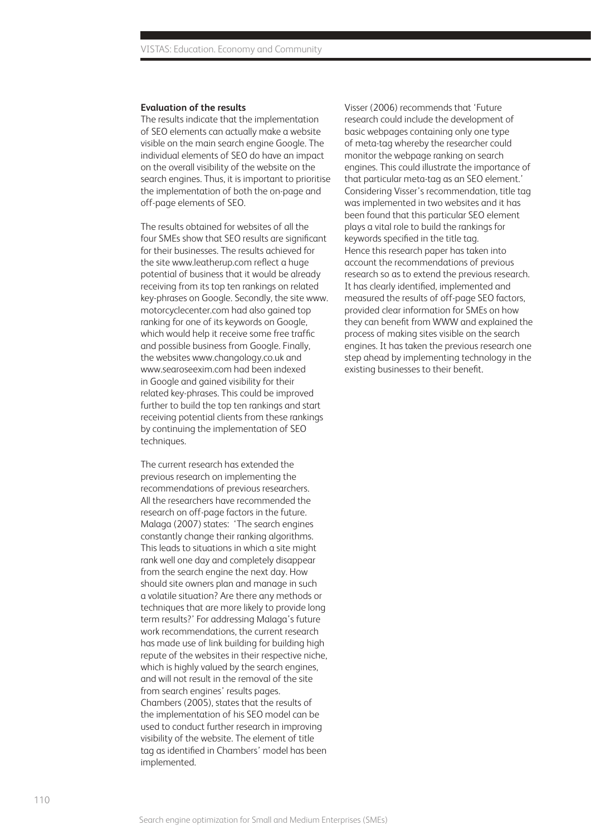#### **Evaluation of the results**

The results indicate that the implementation of SEO elements can actually make a website visible on the main search engine Google. The individual elements of SEO do have an impact on the overall visibility of the website on the search engines. Thus, it is important to prioritise the implementation of both the on-page and off-page elements of SEO.

The results obtained for websites of all the four SMEs show that SEO results are significant for their businesses. The results achieved for the site www.leatherup.com reflect a huge potential of business that it would be already receiving from its top ten rankings on related key-phrases on Google. Secondly, the site www. motorcyclecenter.com had also gained top ranking for one of its keywords on Google, which would help it receive some free traffic and possible business from Google. Finally, the websites www.changology.co.uk and www.searoseexim.com had been indexed in Google and gained visibility for their related key-phrases. This could be improved further to build the top ten rankings and start receiving potential clients from these rankings by continuing the implementation of SEO techniques.

The current research has extended the previous research on implementing the recommendations of previous researchers. All the researchers have recommended the research on off-page factors in the future. Malaga (2007) states: 'The search engines constantly change their ranking algorithms. This leads to situations in which a site might rank well one day and completely disappear from the search engine the next day. How should site owners plan and manage in such a volatile situation? Are there any methods or techniques that are more likely to provide long term results?' For addressing Malaga's future work recommendations, the current research has made use of link building for building high repute of the websites in their respective niche, which is highly valued by the search engines, and will not result in the removal of the site from search engines' results pages. Chambers (2005), states that the results of the implementation of his SEO model can be used to conduct further research in improving visibility of the website. The element of title tag as identified in Chambers' model has been implemented.

Visser (2006) recommends that 'Future research could include the development of basic webpages containing only one type of meta-tag whereby the researcher could monitor the webpage ranking on search engines. This could illustrate the importance of that particular meta-tag as an SEO element.' Considering Visser's recommendation, title tag was implemented in two websites and it has been found that this particular SEO element plays a vital role to build the rankings for keywords specified in the title tag. Hence this research paper has taken into account the recommendations of previous research so as to extend the previous research. It has clearly identified, implemented and measured the results of off-page SEO factors, provided clear information for SMEs on how they can benefit from WWW and explained the process of making sites visible on the search engines. It has taken the previous research one step ahead by implementing technology in the existing businesses to their benefit.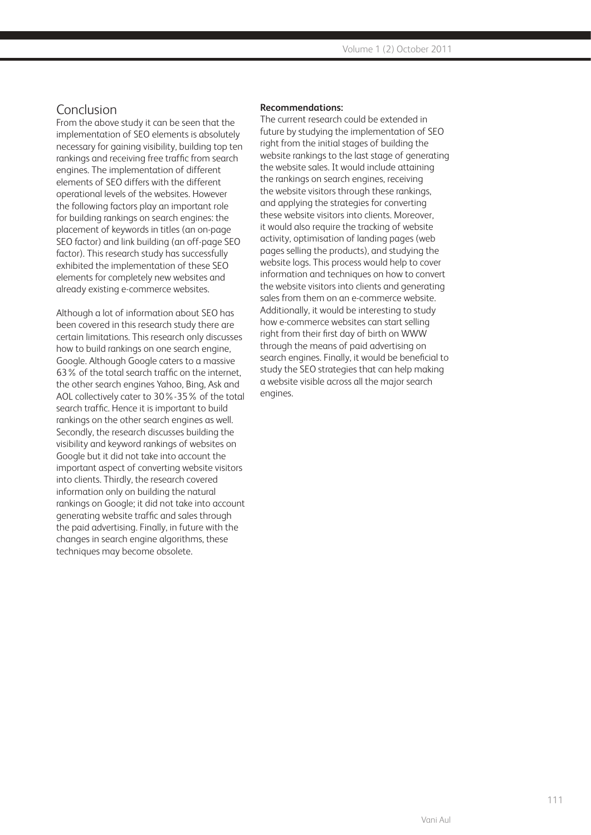### Conclusion

From the above study it can be seen that the implementation of SEO elements is absolutely necessary for gaining visibility, building top ten rankings and receiving free traffic from search engines. The implementation of different elements of SEO differs with the different operational levels of the websites. However the following factors play an important role for building rankings on search engines: the placement of keywords in titles (an on-page SEO factor) and link building (an off-page SEO factor). This research study has successfully exhibited the implementation of these SEO elements for completely new websites and already existing e-commerce websites.

Although a lot of information about SEO has been covered in this research study there are certain limitations. This research only discusses how to build rankings on one search engine, Google. Although Google caters to a massive 63% of the total search traffic on the internet, the other search engines Yahoo, Bing, Ask and AOL collectively cater to 30%-35% of the total search traffic. Hence it is important to build rankings on the other search engines as well. Secondly, the research discusses building the visibility and keyword rankings of websites on Google but it did not take into account the important aspect of converting website visitors into clients. Thirdly, the research covered information only on building the natural rankings on Google; it did not take into account generating website traffic and sales through the paid advertising. Finally, in future with the changes in search engine algorithms, these techniques may become obsolete.

#### **Recommendations:**

The current research could be extended in future by studying the implementation of SEO right from the initial stages of building the website rankings to the last stage of generating the website sales. It would include attaining the rankings on search engines, receiving the website visitors through these rankings, and applying the strategies for converting these website visitors into clients. Moreover, it would also require the tracking of website activity, optimisation of landing pages (web pages selling the products), and studying the website logs. This process would help to cover information and techniques on how to convert the website visitors into clients and generating sales from them on an e-commerce website. Additionally, it would be interesting to study how e-commerce websites can start selling right from their first day of birth on WWW through the means of paid advertising on search engines. Finally, it would be beneficial to study the SEO strategies that can help making a website visible across all the major search engines.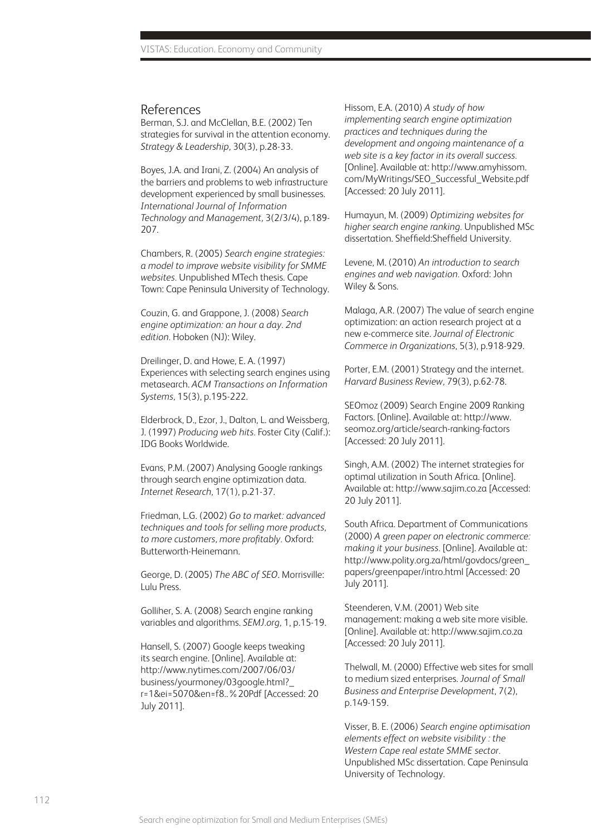#### References

Berman, S.J. and McClellan, B.E. (2002) Ten strategies for survival in the attention economy. *Strategy & Leadership,* 30(3), p.28-33.

Boyes, J.A. and Irani, Z. (2004) An analysis of the barriers and problems to web infrastructure development experienced by small businesses. *International Journal of Information Technology and Management,* 3(2/3/4), p.189- 207.

Chambers, R. (2005) *Search engine strategies: a model to improve website visibility for SMME websites.* Unpublished MTech thesis. Cape Town: Cape Peninsula University of Technology.

Couzin, G. and Grappone, J. (2008) *Search engine optimization: an hour a day. 2nd edition.* Hoboken (NJ): Wiley.

Dreilinger, D. and Howe, E. A. (1997) Experiences with selecting search engines using metasearch. *ACM Transactions on Information Systems,* 15(3), p.195-222.

Elderbrock, D., Ezor, J., Dalton, L. and Weissberg, J. (1997) *Producing web hits.* Foster City (Calif.): IDG Books Worldwide.

Evans, P.M. (2007) Analysing Google rankings through search engine optimization data. *Internet Research*, 17(1), p.21-37.

Friedman, L.G. (2002) *Go to market: advanced techniques and tools for selling more products, to more customers, more profitably.* Oxford: Butterworth-Heinemann.

George, D. (2005) *The ABC of SEO*. Morrisville: Lulu Press.

Golliher, S. A. (2008) Search engine ranking variables and algorithms. *SEMJ.org,* 1, p.15-19.

Hansell, S. (2007) Google keeps tweaking its search engine. [Online]. Available at: http://www.nytimes.com/2007/06/03/ business/yourmoney/03google.html?\_ r=1&ei=5070&en=f8..%20Pdf [Accessed: 20 July 2011].

Hissom, E.A. (2010) *A study of how implementing search engine optimization practices and techniques during the development and ongoing maintenance of a web site is a key factor in its overall success.*  [Online]. Available at: http://www.amyhissom. com/MyWritings/SEO\_Successful\_Website.pdf [Accessed: 20 July 2011].

Humayun, M. (2009) *Optimizing websites for higher search engine ranking.* Unpublished MSc dissertation. Sheffield:Sheffield University.

Levene, M. (2010) *An introduction to search engines and web navigation.* Oxford: John Wiley & Sons.

Malaga, A.R. (2007) The value of search engine optimization: an action research project at a new e-commerce site. *Journal of Electronic Commerce in Organizations*, 5(3), p.918-929.

Porter, E.M. (2001) Strategy and the internet. *Harvard Business Review,* 79(3), p.62-78.

SEOmoz (2009) Search Engine 2009 Ranking Factors. [Online]. Available at: http://www. seomoz.org/article/search-ranking-factors [Accessed: 20 July 2011].

Singh, A.M. (2002) The internet strategies for optimal utilization in South Africa. [Online]. Available at: http://www.sajim.co.za [Accessed: 20 July 2011].

South Africa. Department of Communications (2000) *A green paper on electronic commerce: making it your business.* [Online]. Available at: http://www.polity.org.za/html/govdocs/green\_ papers/greenpaper/intro.html [Accessed: 20 July 2011].

Steenderen, V.M. (2001) Web site management: making a web site more visible. [Online]. Available at: http://www.sajim.co.za [Accessed: 20 July 2011].

Thelwall, M. (2000) Effective web sites for small to medium sized enterprises. *Journal of Small Business and Enterprise Development*, 7(2), p.149-159.

Visser, B. E. (2006) *Search engine optimisation elements effect on website visibility : the Western Cape real estate SMME sector.*  Unpublished MSc dissertation. Cape Peninsula University of Technology.